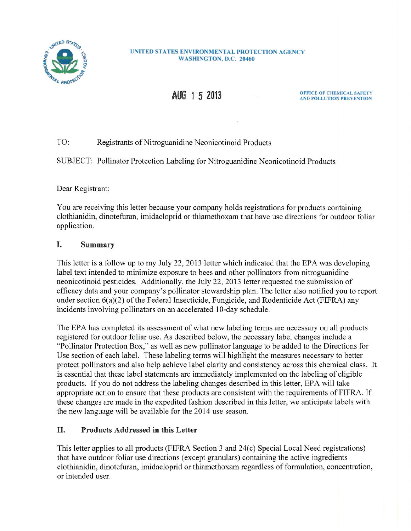

#### **UNITED STATES ENVIRONMENTAL PROTECTION AGENCY** WASHINGTON, D.C. 20460

# AUG 1 5 2013

**OFFICE OF CHEMICAL SAFETY** AND POLLUTION PREVENTION

#### $TO:$ Registrants of Nitroguanidine Neonicotinoid Products

SUBJECT: Pollinator Protection Labeling for Nitroguanidine Neonicotinoid Products

Dear Registrant:

You are receiving this letter because your company holds registrations for products containing clothianidin, dinotefuran, imidacloprid or thiamethoxam that have use directions for outdoor foliar application.

#### I. Summary

This letter is a follow up to my July 22, 2013 letter which indicated that the EPA was developing label text intended to minimize exposure to bees and other pollinators from nitroguanidine neonicotinoid pesticides. Additionally, the July 22, 2013 letter requested the submission of efficacy data and your company's pollinator stewardship plan. The letter also notified you to report under section  $6(a)(2)$  of the Federal Insecticide, Fungicide, and Rodenticide Act (FIFRA) any incidents involving pollinators on an accelerated 10-day schedule.

The EPA has completed its assessment of what new labeling terms are necessary on all products registered for outdoor foliar use. As described below, the necessary label changes include a "Pollinator Protection Box," as well as new pollinator language to be added to the Directions for Use section of each label. These labeling terms will highlight the measures necessary to better protect pollinators and also help achieve label clarity and consistency across this chemical class. It is essential that these label statements are immediately implemented on the labeling of eligible products. If you do not address the labeling changes described in this letter, EPA will take appropriate action to ensure that these products are consistent with the requirements of FIFRA. If these changes are made in the expedited fashion described in this letter, we anticipate labels with the new language will be available for the 2014 use season.

#### II. **Products Addressed in this Letter**

This letter applies to all products (FIFRA Section 3 and 24(c) Special Local Need registrations) that have outdoor foliar use directions (except granulars) containing the active ingredients clothianidin, dinotefuran, imidacloprid or thiamethoxam regardless of formulation, concentration, or intended user.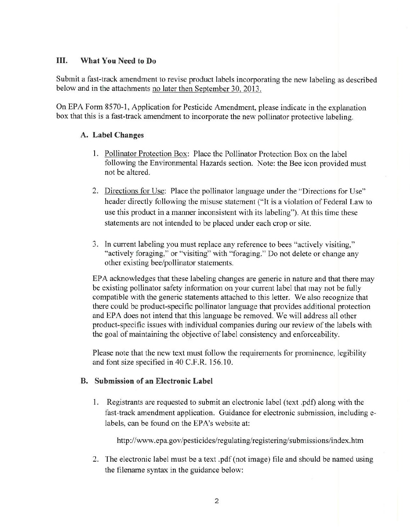#### III. What You Need to Do

Submit a fast-track amendment to revise product labels incorporating the new labeling as described below and in the attachments no later then September 30, 2013.

On EPA Form 8570-1, Application for Pesticide Amendment, please indicate in the explanation box that this is a fast-track amendment to incorporate the new pollinator protective labeling.

## A. Label Changes

- 1. Pollinator Protection Box: Place the Pollinator Protection Box on the label following the Environmental Hazards section. Note: the Bee icon provided must not be altered.
- 2. Directions for Use: Place the pollinator language under the "Directions for Use" header directly following the misuse statement ("It is a violation of Federal Law to use this product in a manner inconsistent with its labeling"). At this time these statements are not intended to be placed under each crop or site.
- 3. In current labeling you must replace any reference to bees "actively visiting," "actively foraging," or "visiting" with "foraging." Do not delete or change any other existing bee/pollinator statements.

EPA acknowledges that these labeling changes are generic in nature and that there may be existing pollinator safety information on your current label that may not be fully compatible with the generic statements attached to this letter. We also recognize that there could be product-specific pollinator language that provides additional protection and EPA does not intend that this language be removed. We will address all other product-specific issues with individual companies during our review of the labels with the goal of maintaining the objective of label consistency and enforceability.

Please note that the new text must follow the requirements for prominence, legibility and font size specified in 40 C.F.R. 156.10.

### **B.** Submission of an Electronic Label

1. Registrants are requested to submit an electronic label (text .pdf) along with the fast-track amendment application. Guidance for electronic submission, including elabels, can be found on the EPA's website at:

http://www.epa.gov/pesticides/regulating/registering/submissions/index.htm

2. The electronic label must be a text pdf (not image) file and should be named using the filename syntax in the guidance below: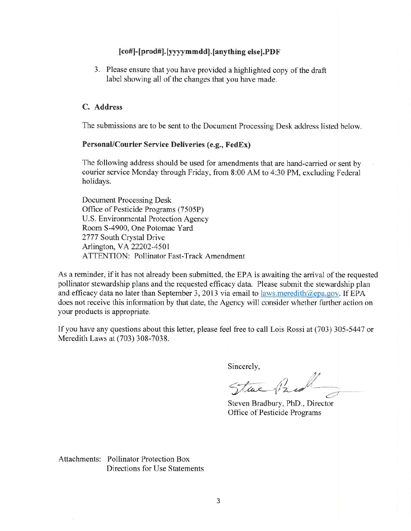### [co#]-[prod#].[yyyymmdd].[anything else].PDF

3. Please ensure that you have provided a highlighted copy of the draft label showing all of the changes that you have made.

### C. Address

The submissions are to be sent to the Document Processing Desk address listed below.

### Personal/Courier Service Deliveries (e.g., FedEx)

The following address should be used for amendments that are hand-carried or sent by courier service Monday through Friday, from 8:00 AM to 4:30 PM, excluding Federal holidays.

**Document Processing Desk** Office of Pesticide Programs (7505P) U.S. Environmental Protection Agency Room S-4900, One Potomac Yard 2777 South Crystal Drive Arlington, VA 22202-4501 **ATTENTION: Pollinator Fast-Track Amendment** 

As a reminder, if it has not already been submitted, the EPA is awaiting the arrival of the requested pollinator stewardship plans and the requested efficacy data. Please submit the stewardship plan and efficacy data no later than September 3, 2013 via email to laws.meredith@epa.gov. If EPA does not receive this information by that date, the Agency will consider whether further action on your products is appropriate.

If you have any questions about this letter, please feel free to call Lois Rossi at (703) 305-5447 or Meredith Laws at (703) 308-7038.

Sincerely,

Stue 1/2

Steven Bradbury, PhD., Director Office of Pesticide Programs

Attachments: Pollinator Protection Box Directions for Use Statements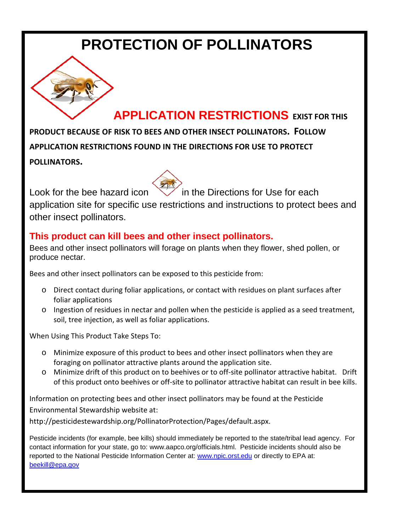# **PROTECTION OF POLLINATORS**

# **APPLICATION RESTRICTIONS EXIST FOR THIS**

**PRODUCT BECAUSE OF RISK TO BEES AND OTHER INSECT POLLINATORS. FOLLOW APPLICATION RESTRICTIONS FOUND IN THE DIRECTIONS FOR USE TO PROTECT POLLINATORS.**

Look for the bee hazard icon  $\bigvee$  in the Directions for Use for each application site for specific use restrictions and instructions to protect bees and other insect pollinators.

# **This product can kill bees and other insect pollinators.**

Bees and other insect pollinators will forage on plants when they flower, shed pollen, or produce nectar.

Bees and other insect pollinators can be exposed to this pesticide from:

- o Direct contact during foliar applications, or contact with residues on plant surfaces after foliar applications
- o Ingestion of residues in nectar and pollen when the pesticide is applied as a seed treatment, soil, tree injection, as well as foliar applications.

When Using This Product Take Steps To:

- o Minimize exposure of this product to bees and other insect pollinators when they are foraging on pollinator attractive plants around the application site.
- o Minimize drift of this product on to beehives or to off-site pollinator attractive habitat. Drift of this product onto beehives or off-site to pollinator attractive habitat can result in bee kills.

Information on protecting bees and other insect pollinators may be found at the Pesticide Environmental Stewardship website at:

http://pesticidestewardship.org/PollinatorProtection/Pages/default.aspx.

Pesticide incidents (for example, bee kills) should immediately be reported to the state/tribal lead agency. For contact information for your state, go to: www.aapco.org/officials.html. Pesticide incidents should also be reported to the National Pesticide Information Center at: [www.npic.orst.edu](http://www.npic.orst.edu/) or directly to EPA at: [beekill@epa.gov](mailto:beekill@epa.gov)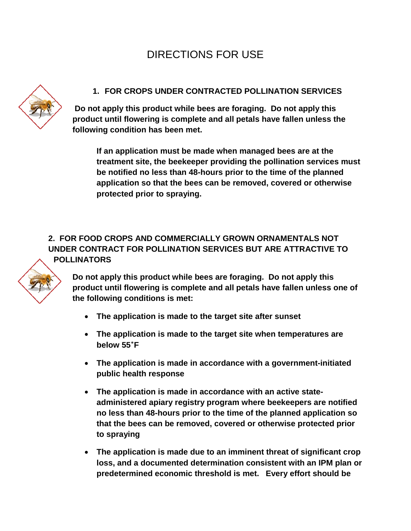# DIRECTIONS FOR USE



## **1. FOR CROPS UNDER CONTRACTED POLLINATION SERVICES**

**Do not apply this product while bees are foraging. Do not apply this product until flowering is complete and all petals have fallen unless the following condition has been met.** 

**If an application must be made when managed bees are at the treatment site, the beekeeper providing the pollination services must be notified no less than 48-hours prior to the time of the planned application so that the bees can be removed, covered or otherwise protected prior to spraying.**

## **2. FOR FOOD CROPS AND COMMERCIALLY GROWN ORNAMENTALS NOT UNDER CONTRACT FOR POLLINATION SERVICES BUT ARE ATTRACTIVE TO POLLINATORS**



**Do not apply this product while bees are foraging. Do not apply this product until flowering is complete and all petals have fallen unless one of the following conditions is met:**

- **The application is made to the target site after sunset**
- **The application is made to the target site when temperatures are below 55˚F**
- **The application is made in accordance with a government-initiated public health response**
- **The application is made in accordance with an active stateadministered apiary registry program where beekeepers are notified no less than 48-hours prior to the time of the planned application so that the bees can be removed, covered or otherwise protected prior to spraying**
- **The application is made due to an imminent threat of significant crop loss, and a documented determination consistent with an IPM plan or predetermined economic threshold is met. Every effort should be**